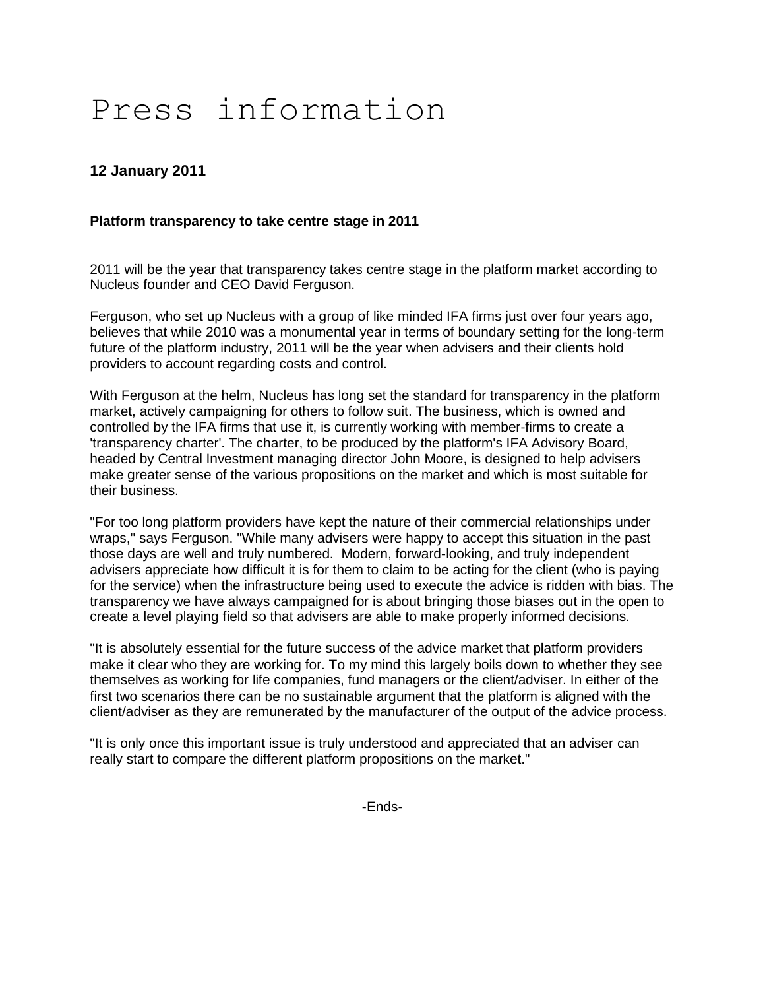# Press information

# **12 January 2011**

## **Platform transparency to take centre stage in 2011**

2011 will be the year that transparency takes centre stage in the platform market according to Nucleus founder and CEO David Ferguson.

Ferguson, who set up Nucleus with a group of like minded IFA firms just over four years ago, believes that while 2010 was a monumental year in terms of boundary setting for the long-term future of the platform industry, 2011 will be the year when advisers and their clients hold providers to account regarding costs and control.

With Ferguson at the helm, Nucleus has long set the standard for transparency in the platform market, actively campaigning for others to follow suit. The business, which is owned and controlled by the IFA firms that use it, is currently working with member-firms to create a 'transparency charter'. The charter, to be produced by the platform's IFA Advisory Board, headed by Central Investment managing director John Moore, is designed to help advisers make greater sense of the various propositions on the market and which is most suitable for their business.

"For too long platform providers have kept the nature of their commercial relationships under wraps," says Ferguson. "While many advisers were happy to accept this situation in the past those days are well and truly numbered. Modern, forward-looking, and truly independent advisers appreciate how difficult it is for them to claim to be acting for the client (who is paying for the service) when the infrastructure being used to execute the advice is ridden with bias. The transparency we have always campaigned for is about bringing those biases out in the open to create a level playing field so that advisers are able to make properly informed decisions.

"It is absolutely essential for the future success of the advice market that platform providers make it clear who they are working for. To my mind this largely boils down to whether they see themselves as working for life companies, fund managers or the client/adviser. In either of the first two scenarios there can be no sustainable argument that the platform is aligned with the client/adviser as they are remunerated by the manufacturer of the output of the advice process.

"It is only once this important issue is truly understood and appreciated that an adviser can really start to compare the different platform propositions on the market."

-Ends-